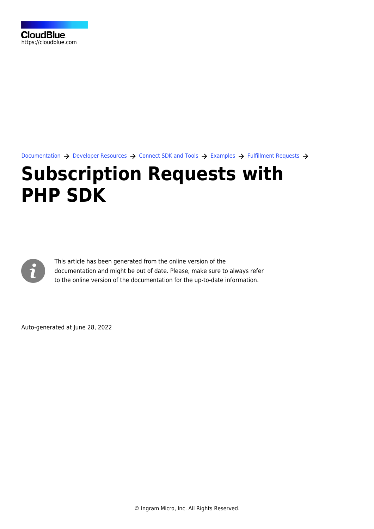

[Documentation](https://connect.cloudblue.com/documentation)  $\rightarrow$  [Developer Resources](https://connect.cloudblue.com/community/developers/)  $\rightarrow$  [Connect SDK and Tools](https://connect.cloudblue.com/community/developers/sdk/)  $\rightarrow$  [Examples](https://connect.cloudblue.com/community/developers/sdk/vendor-scenario-example/)  $\rightarrow$  [Fulfillment Requests](https://connect.cloudblue.com/community/developers/sdk/vendor-scenario-example/manage-asset/)  $\rightarrow$ 

## **[Subscription Requests with](https://connect.cloudblue.com/community/developers/sdk/vendor-scenario-example/manage-asset/asset-request-wit-php-sdk/) [PHP SDK](https://connect.cloudblue.com/community/developers/sdk/vendor-scenario-example/manage-asset/asset-request-wit-php-sdk/)**



This article has been generated from the online version of the documentation and might be out of date. Please, make sure to always refer to the online version of the documentation for the up-to-date information.

Auto-generated at June 28, 2022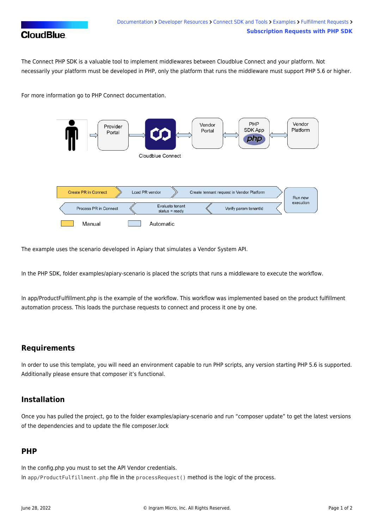

The Connect PHP SDK is a valuable tool to implement middlewares between Cloudblue Connect and your platform. Not necessarily your platform must be developed in PHP, only the platform that runs the middleware must support PHP 5.6 or higher.

For more information go to [PHP Connect documentation.](https://connect.cloudblue.com/community/sdk/php-sdk/)



The example uses the scenario developed in Apiary that simulates a Vendor System API.

In the PHP SDK, folder examples/apiary-scenario is placed the scripts that runs a middleware to execute the workflow.

In app/ProductFulfillment.php is the example of the workflow. This workflow was implemented based on the product fulfillment automation process. This loads the purchase requests to connect and process it one by one.

## **Requirements**

In order to use this template, you will need an environment capable to run PHP scripts, any version starting PHP 5.6 is supported. Additionally please ensure that [composer](https://getcomposer.org/) it's functional.

## **Installation**

Once you has pulled the project, go to the folder examples/apiary-scenario and run "composer update" to get the latest versions of the dependencies and to update the file composer.lock

## **PHP**

In the config.php you must to set the API Vendor credentials. In app/ProductFulfillment.php file in the processRequest() method is the logic of the process.